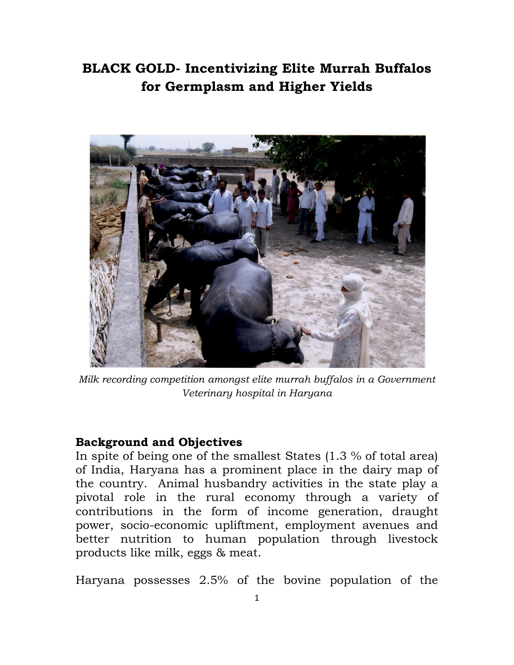## **BLACK GOLD- Incentivizing Elite Murrah Buffalos for Germplasm and Higher Yields**



*Milk recording competition amongst elite murrah buffalos in a Government Veterinary hospital in Haryana*

## **Background and Objectives**

In spite of being one of the smallest States (1.3 % of total area) of India, Haryana has a prominent place in the dairy map of the country. Animal husbandry activities in the state play a pivotal role in the rural economy through a variety of contributions in the form of income generation, draught power, socio-economic upliftment, employment avenues and better nutrition to human population through livestock products like milk, eggs & meat.

Haryana possesses 2.5% of the bovine population of the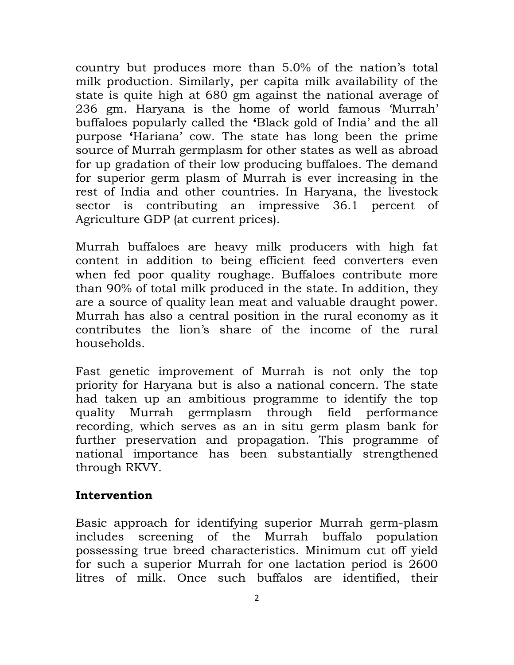country but produces more than 5.0% of the nation"s total milk production. Similarly, per capita milk availability of the state is quite high at 680 gm against the national average of 236 gm. Haryana is the home of world famous "Murrah" buffaloes popularly called the **'**Black gold of India" and the all purpose **'**Hariana" cow. The state has long been the prime source of Murrah germplasm for other states as well as abroad for up gradation of their low producing buffaloes. The demand for superior germ plasm of Murrah is ever increasing in the rest of India and other countries. In Haryana, the livestock sector is contributing an impressive 36.1 percent of Agriculture GDP (at current prices).

Murrah buffaloes are heavy milk producers with high fat content in addition to being efficient feed converters even when fed poor quality roughage. Buffaloes contribute more than 90% of total milk produced in the state. In addition, they are a source of quality lean meat and valuable draught power. Murrah has also a central position in the rural economy as it contributes the lion"s share of the income of the rural households.

Fast genetic improvement of Murrah is not only the top priority for Haryana but is also a national concern. The state had taken up an ambitious programme to identify the top quality Murrah germplasm through field performance recording, which serves as an in situ germ plasm bank for further preservation and propagation. This programme of national importance has been substantially strengthened through RKVY.

## **Intervention**

Basic approach for identifying superior Murrah germ-plasm includes screening of the Murrah buffalo population possessing true breed characteristics. Minimum cut off yield for such a superior Murrah for one lactation period is 2600 litres of milk. Once such buffalos are identified, their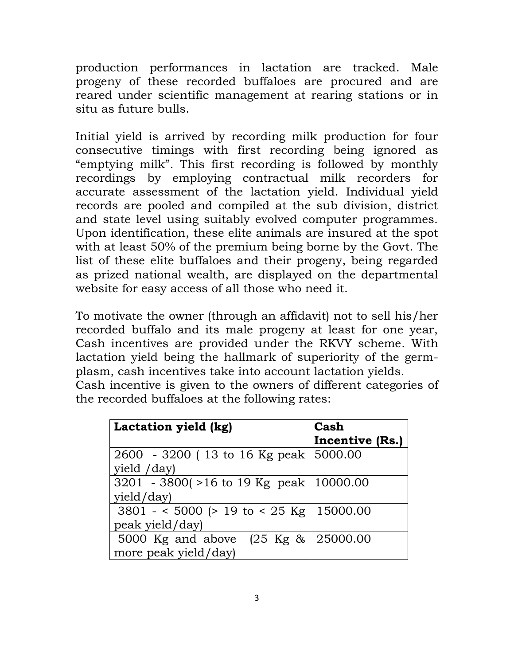production performances in lactation are tracked. Male progeny of these recorded buffaloes are procured and are reared under scientific management at rearing stations or in situ as future bulls.

Initial yield is arrived by recording milk production for four consecutive timings with first recording being ignored as "emptying milk". This first recording is followed by monthly recordings by employing contractual milk recorders for accurate assessment of the lactation yield. Individual yield records are pooled and compiled at the sub division, district and state level using suitably evolved computer programmes. Upon identification, these elite animals are insured at the spot with at least 50% of the premium being borne by the Govt. The list of these elite buffaloes and their progeny, being regarded as prized national wealth, are displayed on the departmental website for easy access of all those who need it.

To motivate the owner (through an affidavit) not to sell his/her recorded buffalo and its male progeny at least for one year, Cash incentives are provided under the RKVY scheme. With lactation yield being the hallmark of superiority of the germplasm, cash incentives take into account lactation yields. Cash incentive is given to the owners of different categories of the recorded buffaloes at the following rates:

| Lactation yield (kg)                     | Cash            |
|------------------------------------------|-----------------|
|                                          | Incentive (Rs.) |
| 2600 - 3200 (13 to 16 Kg peak 5000.00    |                 |
| yield /day)                              |                 |
| 3201 - 3800(>16 to 19 Kg peak   10000.00 |                 |
| yield/day)                               |                 |
| $3801 - 5000$ (> 19 to < 25 Kg 15000.00  |                 |
| peak yield/day)                          |                 |
| 5000 Kg and above (25 Kg & 25000.00      |                 |
| more peak yield/day)                     |                 |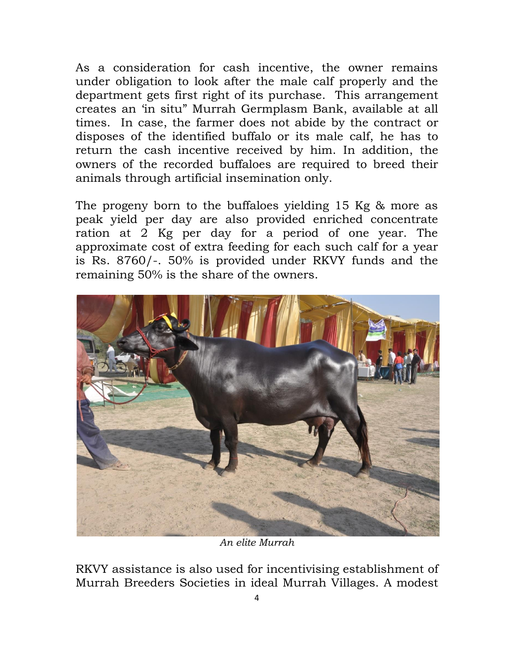As a consideration for cash incentive, the owner remains under obligation to look after the male calf properly and the department gets first right of its purchase. This arrangement creates an "in situ" Murrah Germplasm Bank, available at all times. In case, the farmer does not abide by the contract or disposes of the identified buffalo or its male calf, he has to return the cash incentive received by him. In addition, the owners of the recorded buffaloes are required to breed their animals through artificial insemination only.

The progeny born to the buffaloes yielding 15 Kg & more as peak yield per day are also provided enriched concentrate ration at 2 Kg per day for a period of one year. The approximate cost of extra feeding for each such calf for a year is Rs. 8760/-. 50% is provided under RKVY funds and the remaining 50% is the share of the owners.



*An elite Murrah*

RKVY assistance is also used for incentivising establishment of Murrah Breeders Societies in ideal Murrah Villages. A modest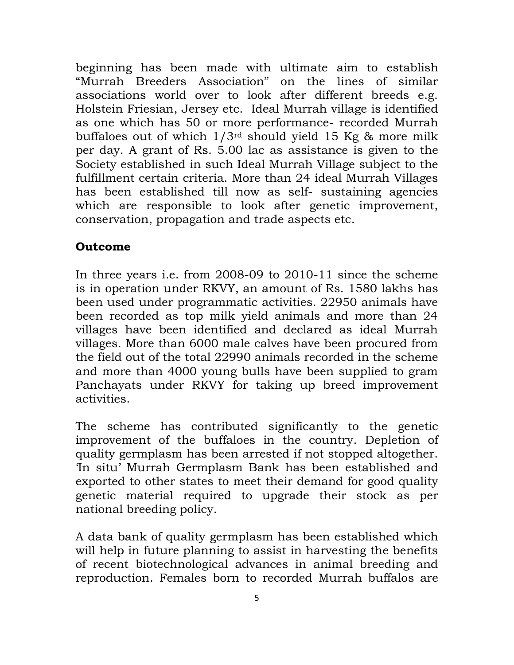beginning has been made with ultimate aim to establish "Murrah Breeders Association" on the lines of similar associations world over to look after different breeds e.g. Holstein Friesian, Jersey etc. Ideal Murrah village is identified as one which has 50 or more performance- recorded Murrah buffaloes out of which  $1/3^{rd}$  should yield 15 Kg & more milk per day. A grant of Rs. 5.00 lac as assistance is given to the Society established in such Ideal Murrah Village subject to the fulfillment certain criteria. More than 24 ideal Murrah Villages has been established till now as self- sustaining agencies which are responsible to look after genetic improvement, conservation, propagation and trade aspects etc.

## **Outcome**

In three years i.e. from 2008-09 to 2010-11 since the scheme is in operation under RKVY, an amount of Rs. 1580 lakhs has been used under programmatic activities. 22950 animals have been recorded as top milk yield animals and more than 24 villages have been identified and declared as ideal Murrah villages. More than 6000 male calves have been procured from the field out of the total 22990 animals recorded in the scheme and more than 4000 young bulls have been supplied to gram Panchayats under RKVY for taking up breed improvement activities.

The scheme has contributed significantly to the genetic improvement of the buffaloes in the country. Depletion of quality germplasm has been arrested if not stopped altogether. "In situ" Murrah Germplasm Bank has been established and exported to other states to meet their demand for good quality genetic material required to upgrade their stock as per national breeding policy.

A data bank of quality germplasm has been established which will help in future planning to assist in harvesting the benefits of recent biotechnological advances in animal breeding and reproduction. Females born to recorded Murrah buffalos are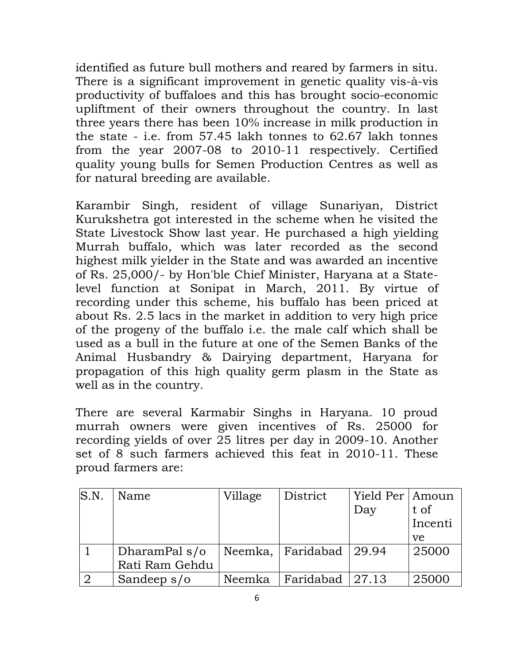identified as future bull mothers and reared by farmers in situ. There is a significant improvement in genetic quality vis-à-vis productivity of buffaloes and this has brought socio-economic upliftment of their owners throughout the country. In last three years there has been 10% increase in milk production in the state - i.e. from 57.45 lakh tonnes to 62.67 lakh tonnes from the year 2007-08 to 2010-11 respectively. Certified quality young bulls for Semen Production Centres as well as for natural breeding are available.

Karambir Singh, resident of village Sunariyan, District Kurukshetra got interested in the scheme when he visited the State Livestock Show last year. He purchased a high yielding Murrah buffalo, which was later recorded as the second highest milk yielder in the State and was awarded an incentive of Rs. 25,000/- by Hon'ble Chief Minister, Haryana at a Statelevel function at Sonipat in March, 2011. By virtue of recording under this scheme, his buffalo has been priced at about Rs. 2.5 lacs in the market in addition to very high price of the progeny of the buffalo i.e. the male calf which shall be used as a bull in the future at one of the Semen Banks of the Animal Husbandry & Dairying department, Haryana for propagation of this high quality germ plasm in the State as well as in the country.

There are several Karmabir Singhs in Haryana. 10 proud murrah owners were given incentives of Rs. 25000 for recording yields of over 25 litres per day in 2009-10. Another set of 8 such farmers achieved this feat in 2010-11. These proud farmers are:

| S.N. | Name           | Village | District                | Yield Per   Amoun |         |
|------|----------------|---------|-------------------------|-------------------|---------|
|      |                |         |                         | Day               | t of    |
|      |                |         |                         |                   | Incenti |
|      |                |         |                         |                   | ve      |
|      | DharamPal s/o  |         | Neemka, Faridabad 29.94 |                   | 25000   |
|      | Rati Ram Gehdu |         |                         |                   |         |
|      | Sandeep $s/o$  | Neemka  | Faridabad 27.13         |                   | 25000   |